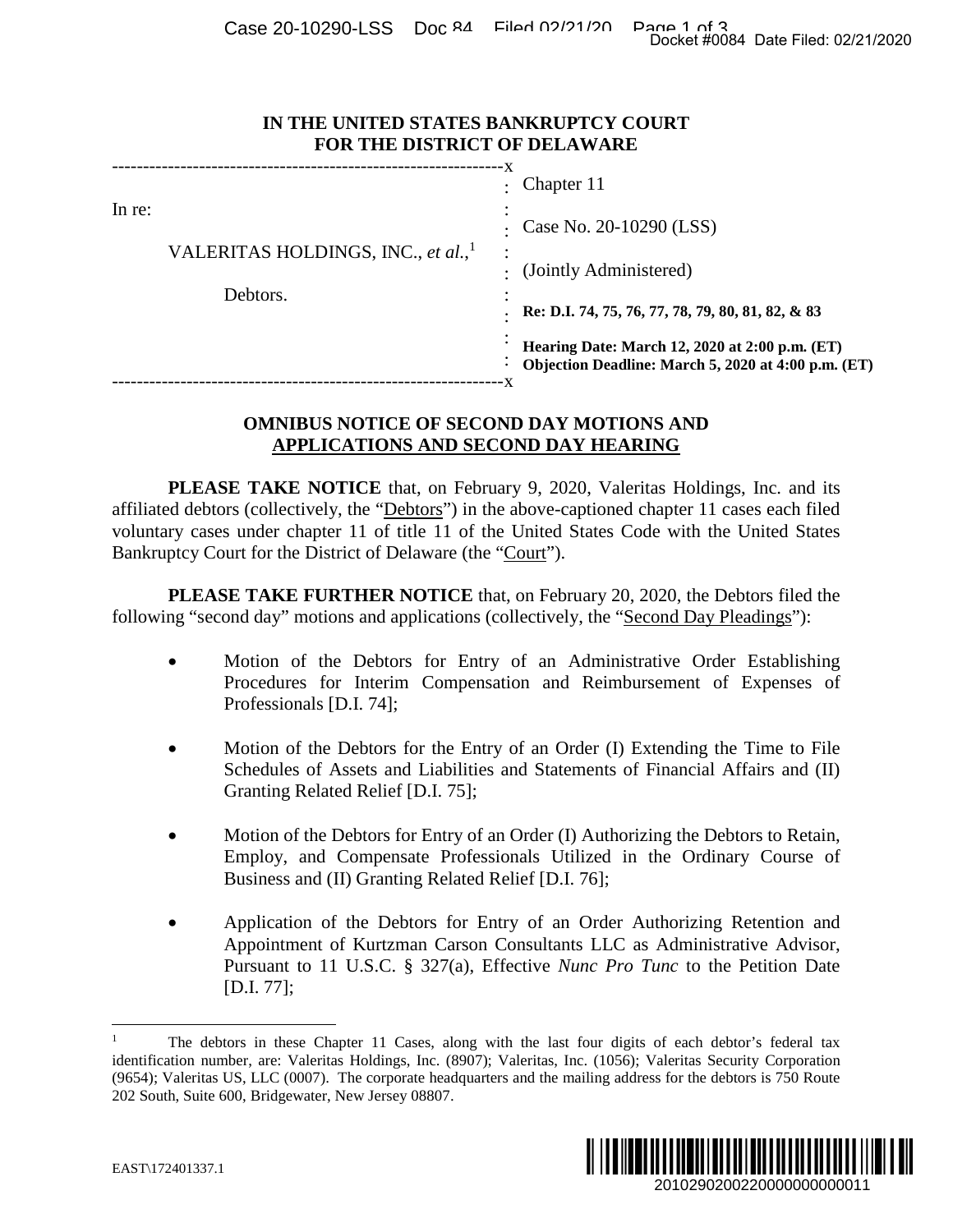Case 20-10290-LSS Doc 84 Filed 02/21/20 Page 1 of 3<br>Docket #0084 Date Filed: 02/21/2020

| IN THE UNITED STATES BANKRUPTCY COURT |
|---------------------------------------|
| <b>FOR THE DISTRICT OF DELAWARE</b>   |

| IN THE UNITED STATES BANKRUPTCY COURT<br>FOR THE DISTRICT OF DELAWARE                                                                                                                                                                                                                            |                                                                                                                                                                                                                                         |  |
|--------------------------------------------------------------------------------------------------------------------------------------------------------------------------------------------------------------------------------------------------------------------------------------------------|-----------------------------------------------------------------------------------------------------------------------------------------------------------------------------------------------------------------------------------------|--|
| In re:<br>VALERITAS HOLDINGS, INC., et al., <sup>1</sup><br>Debtors.                                                                                                                                                                                                                             | Chapter 11                                                                                                                                                                                                                              |  |
|                                                                                                                                                                                                                                                                                                  | Case No. 20-10290 (LSS)                                                                                                                                                                                                                 |  |
|                                                                                                                                                                                                                                                                                                  | (Jointly Administered)                                                                                                                                                                                                                  |  |
|                                                                                                                                                                                                                                                                                                  | Re: D.I. 74, 75, 76, 77, 78, 79, 80, 81, 82, & 83                                                                                                                                                                                       |  |
|                                                                                                                                                                                                                                                                                                  | Hearing Date: March 12, 2020 at 2:00 p.m. (ET)<br>Objection Deadline: March 5, 2020 at 4:00 p.m. (ET)                                                                                                                                   |  |
| <b>OMNIBUS NOTICE OF SECOND DAY MOTIONS AND</b><br><b>APPLICATIONS AND SECOND DAY HEARING</b>                                                                                                                                                                                                    |                                                                                                                                                                                                                                         |  |
| affiliated debtors (collectively, the "Debtors") in the above-captioned chapter 11 cases each filed<br>voluntary cases under chapter 11 of title 11 of the United States Code with the United States<br>Bankruptcy Court for the District of Delaware (the "Court").                             | PLEASE TAKE NOTICE that, on February 9, 2020, Valeritas Holdings, Inc. and its                                                                                                                                                          |  |
| following "second day" motions and applications (collectively, the "Second Day Pleadings"):                                                                                                                                                                                                      | <b>PLEASE TAKE FURTHER NOTICE</b> that, on February 20, 2020, the Debtors filed the                                                                                                                                                     |  |
| Professionals [D.I. 74];                                                                                                                                                                                                                                                                         | Motion of the Debtors for Entry of an Administrative Order Establishing<br>Procedures for Interim Compensation and Reimbursement of Expenses of                                                                                         |  |
| Granting Related Relief [D.I. 75];                                                                                                                                                                                                                                                               | Motion of the Debtors for the Entry of an Order (I) Extending the Time to File<br>Schedules of Assets and Liabilities and Statements of Financial Affairs and (II)                                                                      |  |
| Business and (II) Granting Related Relief [D.I. 76];                                                                                                                                                                                                                                             | Motion of the Debtors for Entry of an Order (I) Authorizing the Debtors to Retain,<br>Employ, and Compensate Professionals Utilized in the Ordinary Course of                                                                           |  |
| [D.I. 77];                                                                                                                                                                                                                                                                                       | Application of the Debtors for Entry of an Order Authorizing Retention and<br>Appointment of Kurtzman Carson Consultants LLC as Administrative Advisor,<br>Pursuant to 11 U.S.C. § 327(a), Effective Nunc Pro Tunc to the Petition Date |  |
| identification number, are: Valeritas Holdings, Inc. (8907); Valeritas, Inc. (1056); Valeritas Security Corporation<br>(9654); Valeritas US, LLC (0007). The corporate headquarters and the mailing address for the debtors is 750 Route<br>202 South, Suite 600, Bridgewater, New Jersey 08807. | The debtors in these Chapter 11 Cases, along with the last four digits of each debtor's federal tax                                                                                                                                     |  |
| EAST\172401337.1                                                                                                                                                                                                                                                                                 | 2010290200220000000000011                                                                                                                                                                                                               |  |

## **OMNIBUS NOTICE OF SECOND DAY MOTIONS AND APPLICATIONS AND SECOND DAY HEARING**

- Motion of the Debtors for Entry of an Administrative Order Establishing Procedures for Interim Compensation and Reimbursement of Expenses of Professionals [D.I. 74];
- Motion of the Debtors for the Entry of an Order (I) Extending the Time to File Schedules of Assets and Liabilities and Statements of Financial Affairs and (II) Granting Related Relief [D.I. 75];
- Motion of the Debtors for Entry of an Order (I) Authorizing the Debtors to Retain, Employ, and Compensate Professionals Utilized in the Ordinary Course of Business and (II) Granting Related Relief [D.I. 76];
- Application of the Debtors for Entry of an Order Authorizing Retention and Appointment of Kurtzman Carson Consultants LLC as Administrative Advisor, Pursuant to 11 U.S.C. § 327(a), Effective *Nunc Pro Tunc* to the Petition Date [D.I. 77];

The debtors in these Chapter 11 Cases, along with the last four digits of each debtor's federal tax identification number, are: Valeritas Holdings, Inc. (8907); Valeritas, Inc. (1056); Valeritas Security Corporation (9654); Valeritas US, LLC (0007). The corporate headquarters and the mailing address for the debtors is 750 Route 202 South, Suite 600, Bridgewater, New Jersey 08807.

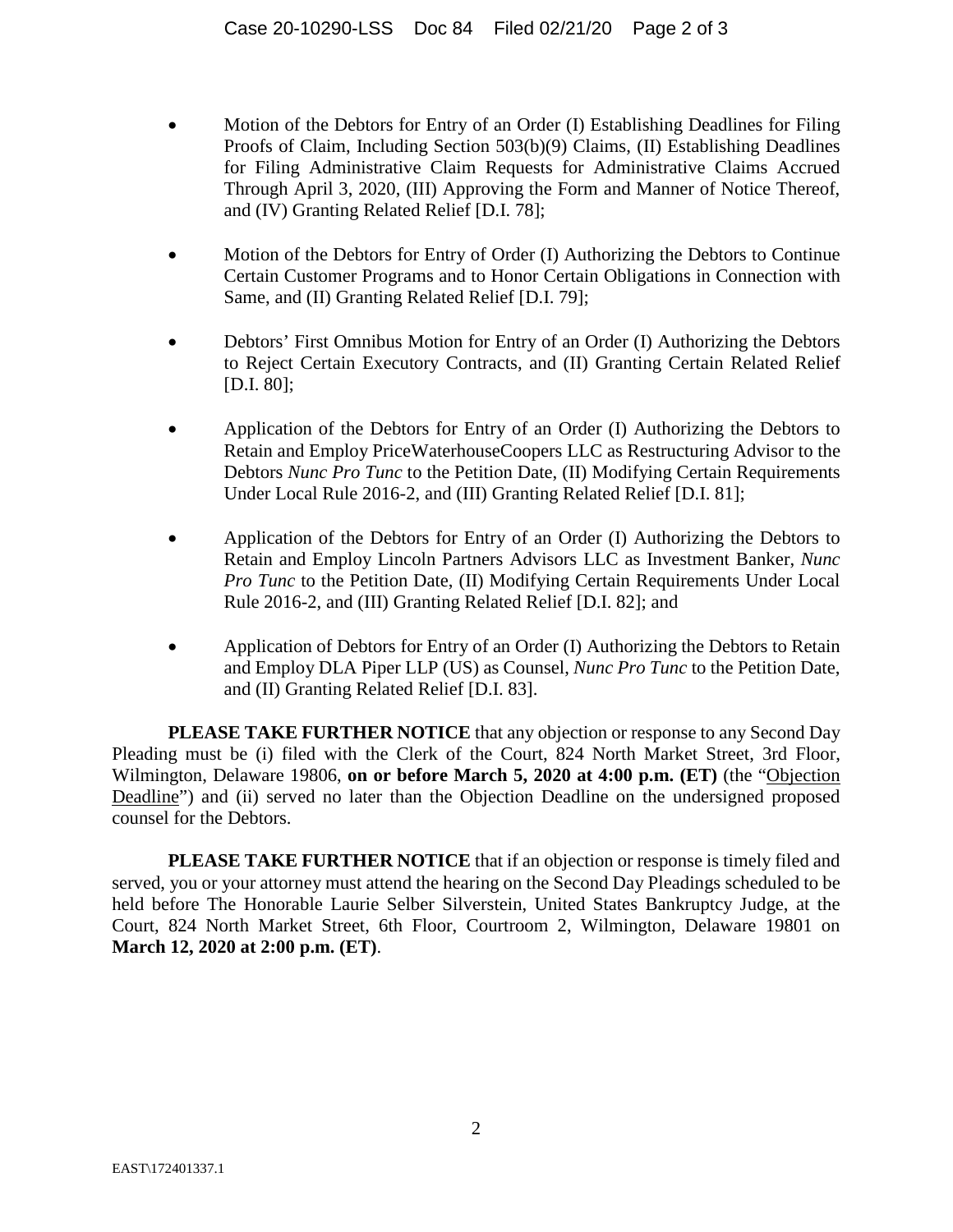- Motion of the Debtors for Entry of an Order (I) Establishing Deadlines for Filing Proofs of Claim, Including Section 503(b)(9) Claims, (II) Establishing Deadlines for Filing Administrative Claim Requests for Administrative Claims Accrued Through April 3, 2020, (III) Approving the Form and Manner of Notice Thereof, and (IV) Granting Related Relief [D.I. 78];
- Motion of the Debtors for Entry of Order (I) Authorizing the Debtors to Continue Certain Customer Programs and to Honor Certain Obligations in Connection with Same, and (II) Granting Related Relief [D.I. 79];
- Debtors' First Omnibus Motion for Entry of an Order (I) Authorizing the Debtors to Reject Certain Executory Contracts, and (II) Granting Certain Related Relief [D.I. 80];
- Application of the Debtors for Entry of an Order (I) Authorizing the Debtors to Retain and Employ PriceWaterhouseCoopers LLC as Restructuring Advisor to the Debtors *Nunc Pro Tunc* to the Petition Date, (II) Modifying Certain Requirements Under Local Rule 2016-2, and (III) Granting Related Relief [D.I. 81];
- Application of the Debtors for Entry of an Order (I) Authorizing the Debtors to Retain and Employ Lincoln Partners Advisors LLC as Investment Banker, *Nunc Pro Tunc* to the Petition Date, (II) Modifying Certain Requirements Under Local Rule 2016-2, and (III) Granting Related Relief [D.I. 82]; and
- Application of Debtors for Entry of an Order (I) Authorizing the Debtors to Retain and Employ DLA Piper LLP (US) as Counsel, *Nunc Pro Tunc* to the Petition Date, and (II) Granting Related Relief [D.I. 83].

**PLEASE TAKE FURTHER NOTICE** that any objection or response to any Second Day Pleading must be (i) filed with the Clerk of the Court, 824 North Market Street, 3rd Floor, Wilmington, Delaware 19806, **on or before March 5, 2020 at 4:00 p.m. (ET)** (the "Objection Deadline") and (ii) served no later than the Objection Deadline on the undersigned proposed counsel for the Debtors.

**PLEASE TAKE FURTHER NOTICE** that if an objection or response is timely filed and served, you or your attorney must attend the hearing on the Second Day Pleadings scheduled to be held before The Honorable Laurie Selber Silverstein, United States Bankruptcy Judge, at the Court, 824 North Market Street, 6th Floor, Courtroom 2, Wilmington, Delaware 19801 on **March 12, 2020 at 2:00 p.m. (ET)**.